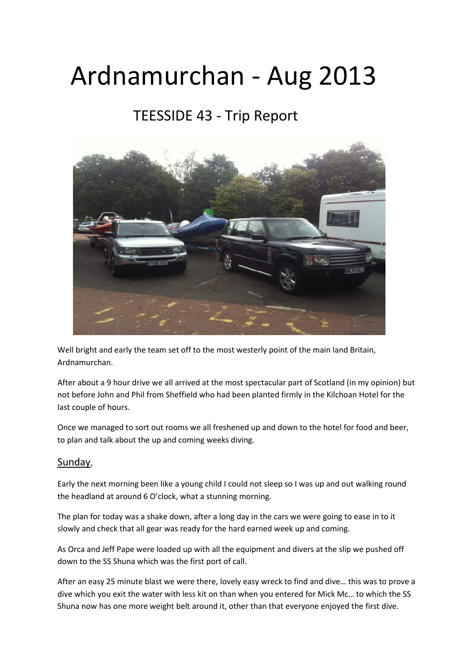# Ardnamurchan - Aug 2013

# TEESSIDE 43 - Trip Report



Well bright and early the team set off to the most westerly point of the main land Britain, Ardnamurchan.

After about a 9 hour drive we all arrived at the most spectacular part of Scotland (in my opinion) but not before John and Phil from Sheffield who had been planted firmly in the Kilchoan Hotel for the last couple of hours.

Once we managed to sort out rooms we all freshened up and down to the hotel for food and beer, to plan and talk about the up and coming weeks diving.

#### Sunday,

Early the next morning been like a young child I could not sleep so I was up and out walking round the headland at around 6 O'clock, what a stunning morning.

The plan for today was a shake down, after a long day in the cars we were going to ease in to it slowly and check that all gear was ready for the hard earned week up and coming.

As Orca and Jeff Pape were loaded up with all the equipment and divers at the slip we pushed off down to the SS Shuna which was the first port of call.

After an easy 25 minute blast we were there, lovely easy wreck to find and dive… this was to prove a dive which you exit the water with less kit on than when you entered for Mick Mc… to which the SS Shuna now has one more weight belt around it, other than that everyone enjoyed the first dive.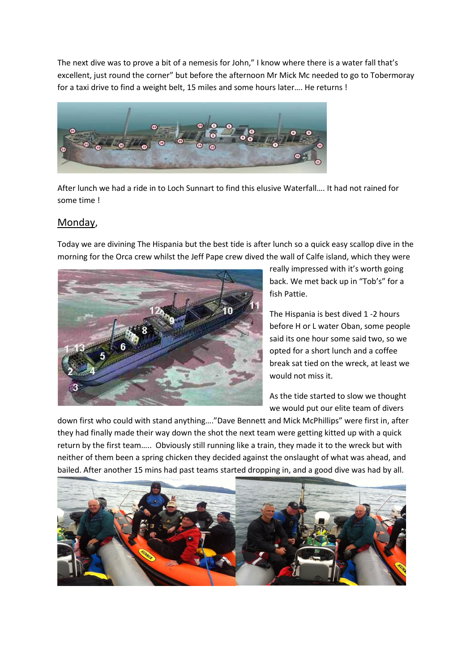The next dive was to prove a bit of a nemesis for John," I know where there is a water fall that's excellent, just round the corner" but before the afternoon Mr Mick Mc needed to go to Tobermoray for a taxi drive to find a weight belt, 15 miles and some hours later…. He returns !



After lunch we had a ride in to Loch Sunnart to find this elusive Waterfall…. It had not rained for some time !

#### Monday,

Today we are divining The Hispania but the best tide is after lunch so a quick easy scallop dive in the morning for the Orca crew whilst the Jeff Pape crew dived the wall of Calfe island, which they were



really impressed with it's worth going back. We met back up in "Tob's" for a fish Pattie.

The Hispania is best dived 1 -2 hours before H or L water Oban, some people said its one hour some said two, so we opted for a short lunch and a coffee break sat tied on the wreck, at least we would not miss it.

As the tide started to slow we thought we would put our elite team of divers

down first who could with stand anything…."Dave Bennett and Mick McPhillips" were first in, after they had finally made their way down the shot the next team were getting kitted up with a quick return by the first team….. Obviously still running like a train, they made it to the wreck but with neither of them been a spring chicken they decided against the onslaught of what was ahead, and bailed. After another 15 mins had past teams started dropping in, and a good dive was had by all.

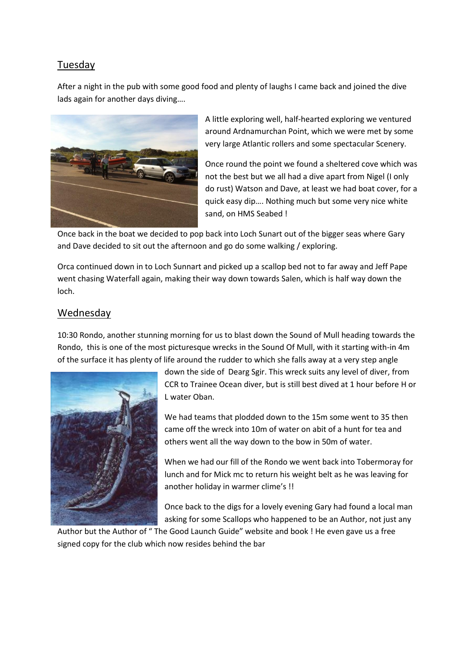#### Tuesday

After a night in the pub with some good food and plenty of laughs I came back and joined the dive lads again for another days diving….



A little exploring well, half-hearted exploring we ventured around Ardnamurchan Point, which we were met by some very large Atlantic rollers and some spectacular Scenery.

Once round the point we found a sheltered cove which was not the best but we all had a dive apart from Nigel (I only do rust) Watson and Dave, at least we had boat cover, for a quick easy dip…. Nothing much but some very nice white sand, on HMS Seabed !

Once back in the boat we decided to pop back into Loch Sunart out of the bigger seas where Gary and Dave decided to sit out the afternoon and go do some walking / exploring.

Orca continued down in to Loch Sunnart and picked up a scallop bed not to far away and Jeff Pape went chasing Waterfall again, making their way down towards Salen, which is half way down the loch.

#### Wednesday

10:30 Rondo, another stunning morning for us to blast down the Sound of Mull heading towards the Rondo, this is one of the most picturesque wrecks in the Sound Of Mull, with it starting with-in 4m of the surface it has plenty of life around the rudder to which she falls away at a very step angle



down the side of Dearg Sgir. This wreck suits any level of diver, from CCR to Trainee Ocean diver, but is still best dived at 1 hour before H or L water Oban.

We had teams that plodded down to the 15m some went to 35 then came off the wreck into 10m of water on abit of a hunt for tea and others went all the way down to the bow in 50m of water.

When we had our fill of the Rondo we went back into Tobermoray for lunch and for Mick mc to return his weight belt as he was leaving for another holiday in warmer clime's !!

Once back to the digs for a lovely evening Gary had found a local man asking for some Scallops who happened to be an Author, not just any

Author but the Author of " The Good Launch Guide" website and book ! He even gave us a free signed copy for the club which now resides behind the bar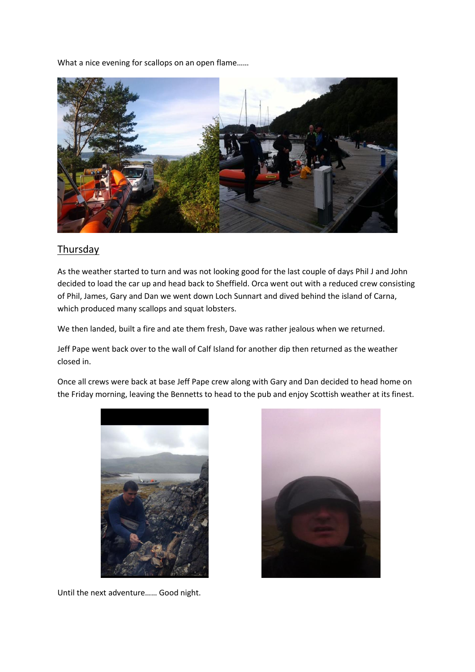What a nice evening for scallops on an open flame……



#### **Thursday**

As the weather started to turn and was not looking good for the last couple of days Phil J and John decided to load the car up and head back to Sheffield. Orca went out with a reduced crew consisting of Phil, James, Gary and Dan we went down Loch Sunnart and dived behind the island of Carna, which produced many scallops and squat lobsters.

We then landed, built a fire and ate them fresh, Dave was rather jealous when we returned.

Jeff Pape went back over to the wall of Calf Island for another dip then returned as the weather closed in.

Once all crews were back at base Jeff Pape crew along with Gary and Dan decided to head home on the Friday morning, leaving the Bennetts to head to the pub and enjoy Scottish weather at its finest.



Until the next adventure…… Good night.